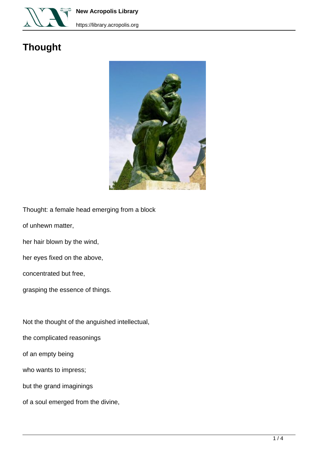

**New Acropolis Library**

## **Thought**



Thought: a female head emerging from a block

of unhewn matter,

her hair blown by the wind,

her eyes fixed on the above,

concentrated but free,

grasping the essence of things.

Not the thought of the anguished intellectual,

the complicated reasonings

of an empty being

who wants to impress;

but the grand imaginings

of a soul emerged from the divine,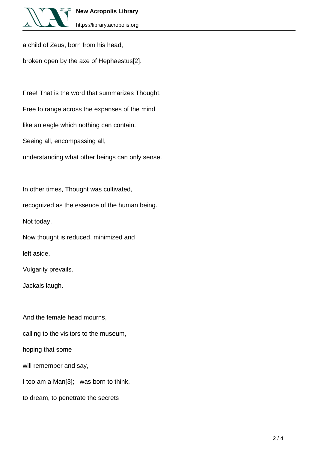

a child of Zeus, born from his head,

broken open by the axe of Hephaestus[2].

Free! That is the word that summarizes Thought. Free to range across the expanses of the mind like an eagle which nothing can contain. Seeing all, encompassing all, understanding what other beings can only sense.

In other times, Thought was cultivated,

recognized as the essence of the human being.

Not today.

Now thought is reduced, minimized and

left aside.

Vulgarity prevails.

Jackals laugh.

And the female head mourns,

calling to the visitors to the museum,

hoping that some

will remember and say,

I too am a Man[3]; I was born to think,

to dream, to penetrate the secrets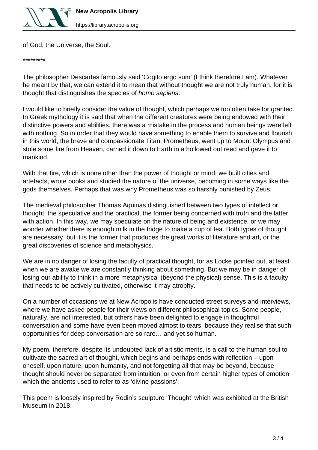

https://library.acropolis.org

of God, the Universe, the Soul.

\*\*\*\*\*\*\*\*\*

The philosopher Descartes famously said 'Cogito ergo sum' (I think therefore I am). Whatever he meant by that, we can extend it to mean that without thought we are not truly human, for it is thought that distinguishes the species of homo sapiens.

I would like to briefly consider the value of thought, which perhaps we too often take for granted. In Greek mythology it is said that when the different creatures were being endowed with their distinctive powers and abilities, there was a mistake in the process and human beings were left with nothing. So in order that they would have something to enable them to survive and flourish in this world, the brave and compassionate Titan, Prometheus, went up to Mount Olympus and stole some fire from Heaven, carried it down to Earth in a hollowed out reed and gave it to mankind.

With that fire, which is none other than the power of thought or mind, we built cities and artefacts, wrote books and studied the nature of the universe, becoming in some ways like the gods themselves. Perhaps that was why Prometheus was so harshly punished by Zeus.

The medieval philosopher Thomas Aquinas distinguished between two types of intellect or thought: the speculative and the practical, the former being concerned with truth and the latter with action. In this way, we may speculate on the nature of being and existence, or we may wonder whether there is enough milk in the fridge to make a cup of tea. Both types of thought are necessary, but it is the former that produces the great works of literature and art, or the great discoveries of science and metaphysics.

We are in no danger of losing the faculty of practical thought, for as Locke pointed out, at least when we are awake we are constantly thinking about something. But we may be in danger of losing our ability to think in a more metaphysical (beyond the physical) sense. This is a faculty that needs to be actively cultivated, otherwise it may atrophy.

On a number of occasions we at New Acropolis have conducted street surveys and interviews, where we have asked people for their views on different philosophical topics. Some people, naturally, are not interested, but others have been delighted to engage in thoughtful conversation and some have even been moved almost to tears, because they realise that such opportunities for deep conversation are so rare… and yet so human.

My poem, therefore, despite its undoubted lack of artistic merits, is a call to the human soul to cultivate the sacred art of thought, which begins and perhaps ends with reflection – upon oneself, upon nature, upon humanity, and not forgetting all that may be beyond, because thought should never be separated from intuition, or even from certain higher types of emotion which the ancients used to refer to as 'divine passions'.

This poem is loosely inspired by Rodin's sculpture 'Thought' which was exhibited at the British Museum in 2018.